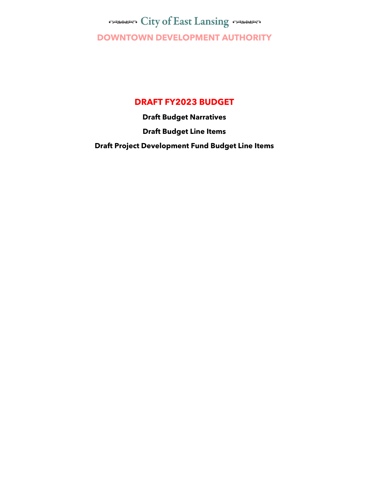**City of East Lansing Comments DOWNTOWN DEVELOPMENT AUTHORITY**

### **DRAFT FY2023 BUDGET**

**Draft Budget Narratives Draft Budget Line Items Draft Project Development Fund Budget Line Items**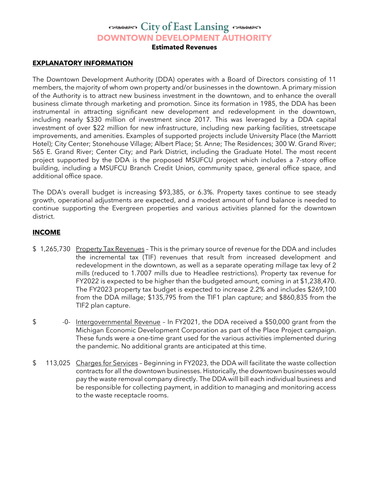### **City of East Lansing Comments DOWNTOWN DEVELOPMENT AUTHORITY**

**Estimated Revenues**

#### **EXPLANATORY INFORMATION**

The Downtown Development Authority (DDA) operates with a Board of Directors consisting of 11 members, the majority of whom own property and/or businesses in the downtown. A primary mission of the Authority is to attract new business investment in the downtown, and to enhance the overall business climate through marketing and promotion. Since its formation in 1985, the DDA has been instrumental in attracting significant new development and redevelopment in the downtown, including nearly \$330 million of investment since 2017. This was leveraged by a DDA capital investment of over \$22 million for new infrastructure, including new parking facilities, streetscape improvements, and amenities. Examples of supported projects include University Place (the Marriott Hotel); City Center; Stonehouse Village; Albert Place; St. Anne; The Residences; 300 W. Grand River; 565 E. Grand River; Center City; and Park District, including the Graduate Hotel. The most recent project supported by the DDA is the proposed MSUFCU project which includes a 7-story office building, including a MSUFCU Branch Credit Union, community space, general office space, and additional office space.

The DDA's overall budget is increasing \$93,385, or 6.3%. Property taxes continue to see steady growth, operational adjustments are expected, and a modest amount of fund balance is needed to continue supporting the Evergreen properties and various activities planned for the downtown district.

#### **INCOME**

- \$1,265,730 Property Tax Revenues This is the primary source of revenue for the DDA and includes the incremental tax (TIF) revenues that result from increased development and redevelopment in the downtown, as well as a separate operating millage tax levy of 2 mills (reduced to 1.7007 mills due to Headlee restrictions). Property tax revenue for FY2022 is expected to be higher than the budgeted amount, coming in at \$1,238,470. The FY2023 property tax budget is expected to increase 2.2% and includes \$269,100 from the DDA millage; \$135,795 from the TIF1 plan capture; and \$860,835 from the TIF2 plan capture.
- \$ -0- Intergovernmental Revenue In FY2021, the DDA received a \$50,000 grant from the Michigan Economic Development Corporation as part of the Place Project campaign. These funds were a one-time grant used for the various activities implemented during the pandemic. No additional grants are anticipated at this time.
- \$113,025 Charges for Services Beginning in FY2023, the DDA will facilitate the waste collection contracts for all the downtown businesses. Historically, the downtown businesses would pay the waste removal company directly. The DDA will bill each individual business and be responsible for collecting payment, in addition to managing and monitoring access to the waste receptacle rooms.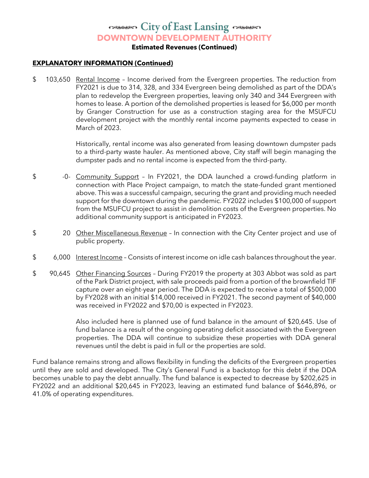# **City of East Lansing Comments**

**DOWNTOWN DEVELOPMENT AUTHORITY**

**Estimated Revenues (Continued)**

#### **EXPLANATORY INFORMATION (Continued)**

\$ 103,650 Rental Income - Income derived from the Evergreen properties. The reduction from FY2021 is due to 314, 328, and 334 Evergreen being demolished as part of the DDA's plan to redevelop the Evergreen properties, leaving only 340 and 344 Evergreen with homes to lease. A portion of the demolished properties is leased for \$6,000 per month by Granger Construction for use as a construction staging area for the MSUFCU development project with the monthly rental income payments expected to cease in March of 2023.

> Historically, rental income was also generated from leasing downtown dumpster pads to a third-party waste hauler. As mentioned above, City staff will begin managing the dumpster pads and no rental income is expected from the third-party.

- \$ -0- Community Support In FY2021, the DDA launched a crowd-funding platform in connection with Place Project campaign, to match the state-funded grant mentioned above. This was a successful campaign, securing the grant and providing much needed support for the downtown during the pandemic. FY2022 includes \$100,000 of support from the MSUFCU project to assist in demolition costs of the Evergreen properties. No additional community support is anticipated in FY2023.
- \$ 20 Other Miscellaneous Revenue In connection with the City Center project and use of public property.
- \$ 6,000 Interest Income Consists of interest income on idle cash balances throughout the year.
- \$ 90,645 Other Financing Sources During FY2019 the property at 303 Abbot was sold as part of the Park District project, with sale proceeds paid from a portion of the brownfield TIF capture over an eight-year period. The DDA is expected to receive a total of \$500,000 by FY2028 with an initial \$14,000 received in FY2021. The second payment of \$40,000 was received in FY2022 and \$70,00 is expected in FY2023.

Also included here is planned use of fund balance in the amount of \$20,645. Use of fund balance is a result of the ongoing operating deficit associated with the Evergreen properties. The DDA will continue to subsidize these properties with DDA general revenues until the debt is paid in full or the properties are sold.

Fund balance remains strong and allows flexibility in funding the deficits of the Evergreen properties until they are sold and developed. The City's General Fund is a backstop for this debt if the DDA becomes unable to pay the debt annually. The fund balance is expected to decrease by \$202,625 in FY2022 and an additional \$20,645 in FY2023, leaving an estimated fund balance of \$646,896, or 41.0% of operating expenditures.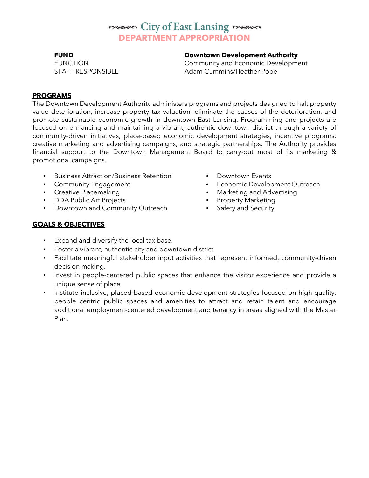### **City of East Lansing Comments DEPARTMENT APPROPRIATION**

**FUND Downtown Development Authority** 

FUNCTION Community and Economic Development STAFF RESPONSIBLE Adam Cummins/Heather Pope

#### **PROGRAMS**

The Downtown Development Authority administers programs and projects designed to halt property value deterioration, increase property tax valuation, eliminate the causes of the deterioration, and promote sustainable economic growth in downtown East Lansing. Programming and projects are focused on enhancing and maintaining a vibrant, authentic downtown district through a variety of community-driven initiatives, place-based economic development strategies, incentive programs, creative marketing and advertising campaigns, and strategic partnerships. The Authority provides financial support to the Downtown Management Board to carry-out most of its marketing & promotional campaigns.

- Business Attraction/Business Retention
- Community Engagement
- Creative Placemaking
- DDA Public Art Projects
- Downtown and Community Outreach
- Downtown Events
- **Economic Development Outreach**
- Marketing and Advertising
- Property Marketing
- Safety and Security

### **GOALS & OBJECTIVES**

- Expand and diversify the local tax base.
- Foster a vibrant, authentic city and downtown district.
- Facilitate meaningful stakeholder input activities that represent informed, community-driven decision making.
- Invest in people-centered public spaces that enhance the visitor experience and provide a unique sense of place.
- Institute inclusive, placed-based economic development strategies focused on high-quality, people centric public spaces and amenities to attract and retain talent and encourage additional employment-centered development and tenancy in areas aligned with the Master Plan.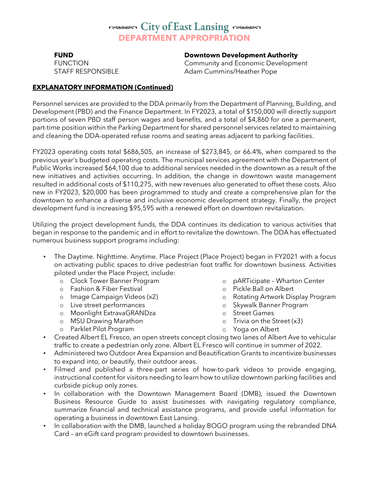## **City of East Lansing Comments DEPARTMENT APPROPRIATION**

#### **FUND Downtown Development Authority**

FUNCTION Community and Economic Development STAFF RESPONSIBLE Adam Cummins/Heather Pope

#### **EXPLANATORY INFORMATION (Continued)**

Personnel services are provided to the DDA primarily from the Department of Planning, Building, and Development (PBD) and the Finance Department. In FY2023, a total of \$150,000 will directly support portions of seven PBD staff person wages and benefits, and a total of \$4,860 for one a permanent, part-time position within the Parking Department for shared personnel services related to maintaining and cleaning the DDA-operated refuse rooms and seating areas adjacent to parking facilities.

FY2023 operating costs total \$686,505, an increase of \$273,845, or 66.4%, when compared to the previous year's budgeted operating costs. The municipal services agreement with the Department of Public Works increased \$64,100 due to additional services needed in the downtown as a result of the new initiatives and activities occurring. In addition, the change in downtown waste management resulted in additional costs of \$110,275, with new revenues also generated to offset these costs. Also new in FY2023, \$20,000 has been programmed to study and create a comprehensive plan for the downtown to enhance a diverse and inclusive economic development strategy. Finally, the project development fund is increasing \$95,595 with a renewed effort on downtown revitalization.

Utilizing the project development funds, the DDA continues its dedication to various activities that began in response to the pandemic and in effort to revitalize the downtown. The DDA has effectuated numerous business support programs including:

- The Daytime. Nighttime. Anytime. Place Project (Place Project) began in FY2021 with a focus on activating public spaces to drive pedestrian foot traffic for downtown business. Activities piloted under the Place Project, include:
	- o Clock Tower Banner Program
	- o Fashion & Fiber Festival
	- o Image Campaign Videos (x2)
	- o Live street performances
	- o Moonlight ExtravaGRANDza
	- o MSU Drawing Marathon
	- o Parklet Pilot Program
- o pARTicipate Wharton Center
- o Pickle Ball on Albert
- o Rotating Artwork Display Program
- o Skywalk Banner Program
- o Street Games
- o Trivia on the Street (x3)
- o Yoga on Albert
- Created Albert EL Fresco, an open streets concept closing two lanes of Albert Ave to vehicular traffic to create a pedestrian only zone. Albert EL Fresco will continue in summer of 2022.
- Administered two Outdoor Area Expansion and Beautification Grants to incentivize businesses to expand into, or beautify, their outdoor areas.
- Filmed and published a three-part series of how-to-park videos to provide engaging, instructional content for visitors needing to learn how to utilize downtown parking facilities and curbside pickup only zones.
- In collaboration with the Downtown Management Board (DMB), issued the Downtown Business Resource Guide to assist businesses with navigating regulatory compliance, summarize financial and technical assistance programs, and provide useful information for operating a business in downtown East Lansing.
- In collaboration with the DMB, launched a holiday BOGO program using the rebranded DNA Card – an eGift card program provided to downtown businesses.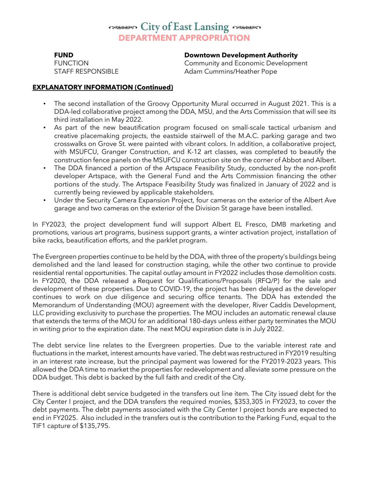### **City of East Lansing Comments DEPARTMENT APPROPRIATION**

#### **FUND Downtown Development Authority**

FUNCTION Community and Economic Development STAFF RESPONSIBLE Adam Cummins/Heather Pope

#### **EXPLANATORY INFORMATION (Continued)**

- The second installation of the Groovy Opportunity Mural occurred in August 2021. This is a DDA-led collaborative project among the DDA, MSU, and the Arts Commission that will see its third installation in May 2022.
- As part of the new beautification program focused on small-scale tactical urbanism and creative placemaking projects, the eastside stairwell of the M.A.C. parking garage and two crosswalks on Grove St. were painted with vibrant colors. In addition, a collaborative project, with MSUFCU, Granger Construction, and K-12 art classes, was completed to beautify the construction fence panels on the MSUFCU construction site on the corner of Abbot and Albert.
- The DDA financed a portion of the Artspace Feasibility Study, conducted by the non-profit developer Artspace, with the General Fund and the Arts Commission financing the other portions of the study. The Artspace Feasibility Study was finalized in January of 2022 and is currently being reviewed by applicable stakeholders.
- Under the Security Camera Expansion Project, four cameras on the exterior of the Albert Ave garage and two cameras on the exterior of the Division St garage have been installed.

In FY2023, the project development fund will support Albert EL Fresco, DMB marketing and promotions, various art programs, business support grants, a winter activation project, installation of bike racks, beautification efforts, and the parklet program.

The Evergreen properties continue to be held by the DDA, with three of the property's buildings being demolished and the land leased for construction staging, while the other two continue to provide residential rental opportunities. The capital outlay amount in FY2022 includes those demolition costs. In FY2020, the DDA released a [Request for Qualifications/Proposals \(RFQ/P\)](https://cityofeastlansing.com/DocumentCenter/View/8992/RFP---Evergreen-Final-Document-PDF) for the sale and development of these properties. Due to COVID-19, the project has been delayed as the developer continues to work on due diligence and securing office tenants. The DDA has extended the Memorandum of Understanding (MOU) agreement with the developer, River Caddis Development, LLC providing exclusivity to purchase the properties. The MOU includes an automatic renewal clause that extends the terms of the MOU for an additional 180-days unless either party terminates the MOU in writing prior to the expiration date. The next MOU expiration date is in July 2022.

The debt service line relates to the Evergreen properties. Due to the variable interest rate and fluctuations in the market, interest amounts have varied. The debt was restructured in FY2019 resulting in an interest rate increase, but the principal payment was lowered for the FY2019-2023 years. This allowed the DDA time to market the properties for redevelopment and alleviate some pressure on the DDA budget. This debt is backed by the full faith and credit of the City.

There is additional debt service budgeted in the transfers out line item. The City issued debt for the City Center I project, and the DDA transfers the required monies, \$353,305 in FY2023, to cover the debt payments. The debt payments associated with the City Center I project bonds are expected to end in FY2025. Also included in the transfers out is the contribution to the Parking Fund, equal to the TIF1 capture of \$135,795.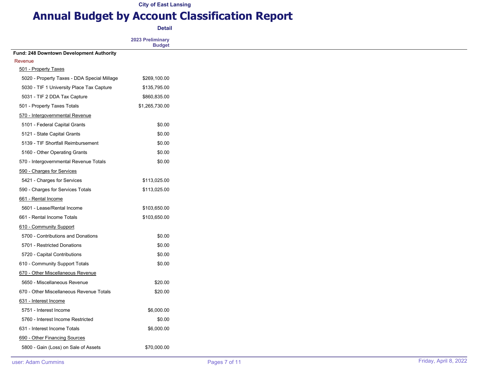# **Annual Budget by Account Classification Report**

**Detail**

|                                             | 2023 Preliminary<br><b>Budget</b> |
|---------------------------------------------|-----------------------------------|
| Fund: 248 Downtown Development Authority    |                                   |
| Revenue                                     |                                   |
| 501 - Property Taxes                        |                                   |
| 5020 - Property Taxes - DDA Special Millage | \$269,100.00                      |
| 5030 - TIF 1 University Place Tax Capture   | \$135,795.00                      |
| 5031 - TIF 2 DDA Tax Capture                | \$860,835.00                      |
| 501 - Property Taxes Totals                 | \$1,265,730.00                    |
| 570 - Intergovernmental Revenue             |                                   |
| 5101 - Federal Capital Grants               | \$0.00                            |
| 5121 - State Capital Grants                 | \$0.00                            |
| 5139 - TIF Shortfall Reimbursement          | \$0.00                            |
| 5160 - Other Operating Grants               | \$0.00                            |
| 570 - Intergovernmental Revenue Totals      | \$0.00                            |
| 590 - Charges for Services                  |                                   |
| 5421 - Charges for Services                 | \$113,025.00                      |
| 590 - Charges for Services Totals           | \$113,025.00                      |
| 661 - Rental Income                         |                                   |
| 5601 - Lease/Rental Income                  | \$103,650.00                      |
| 661 - Rental Income Totals                  | \$103,650.00                      |
| 610 - Community Support                     |                                   |
| 5700 - Contributions and Donations          | \$0.00                            |
| 5701 - Restricted Donations                 | \$0.00                            |
| 5720 - Capital Contributions                | \$0.00                            |
| 610 - Community Support Totals              | \$0.00                            |
| 670 - Other Miscellaneous Revenue           |                                   |
| 5650 - Miscellaneous Revenue                | \$20.00                           |
| 670 - Other Miscellaneous Revenue Totals    | \$20.00                           |
| 631 - Interest Income                       |                                   |
| 5751 - Interest Income                      | \$6,000.00                        |
| 5760 - Interest Income Restricted           | \$0.00                            |
| 631 - Interest Income Totals                | \$6,000.00                        |
| 690 - Other Financing Sources               |                                   |
| 5800 - Gain (Loss) on Sale of Assets        | \$70,000.00                       |
|                                             |                                   |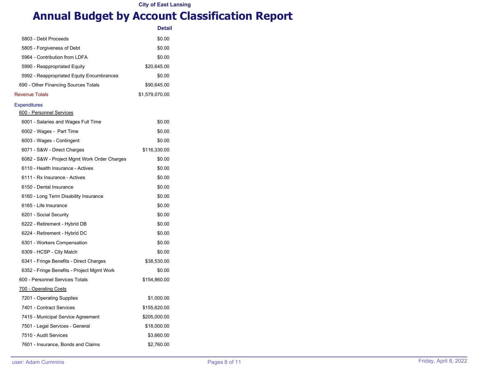# **Annual Budget by Account Classification Report**

|                                              | <b>Detail</b>  |
|----------------------------------------------|----------------|
| 5803 - Debt Proceeds                         | \$0.00         |
| 5805 - Forgiveness of Debt                   | \$0.00         |
| 5964 - Contribution from LDFA                | \$0.00         |
| 5990 - Reappropriated Equity                 | \$20,645.00    |
| 5992 - Reappropriated Equity Encumbrances    | \$0.00         |
| 690 - Other Financing Sources Totals         | \$90,645.00    |
| <b>Revenue Totals</b>                        | \$1,579,070.00 |
| <b>Expenditures</b>                          |                |
| 600 - Personnel Services                     |                |
| 6001 - Salaries and Wages Full Time          | \$0.00         |
| 6002 - Wages - Part Time                     | \$0.00         |
| 6003 - Wages - Contingent                    | \$0.00         |
| 6071 - S&W - Direct Charges                  | \$116,330.00   |
| 6082 - S&W - Project Mgmt Work Order Charges | \$0.00         |
| 6110 - Health Insurance - Actives            | \$0.00         |
| 6111 - Rx Insurance - Actives                | \$0.00         |
| 6150 - Dental Insurance                      | \$0.00         |
| 6160 - Long Term Disability Insurance        | \$0.00         |
| 6165 - Life Insurance                        | \$0.00         |
| 6201 - Social Security                       | \$0.00         |
| 6222 - Retirement - Hybrid DB                | \$0.00         |
| 6224 - Retirement - Hybrid DC                | \$0.00         |
| 6301 - Workers Compensation                  | \$0.00         |
| 6309 - HCSP - City Match                     | \$0.00         |
| 6341 - Fringe Benefits - Direct Charges      | \$38,530.00    |
| 6352 - Fringe Benefits - Project Mgmt Work   | \$0.00         |
| 600 - Personnel Services Totals              | \$154,860.00   |
| <u>700 - Operating Costs</u>                 |                |
| 7201 - Operating Supplies                    | \$1,000.00     |
| 7401 - Contract Services                     | \$155,620.00   |
| 7415 - Municipal Service Agreement           | \$205,000.00   |
| 7501 - Legal Services - General              | \$18,000.00    |
| 7510 - Audit Services                        | \$3,660.00     |
| 7601 - Insurance, Bonds and Claims           | \$2,760.00     |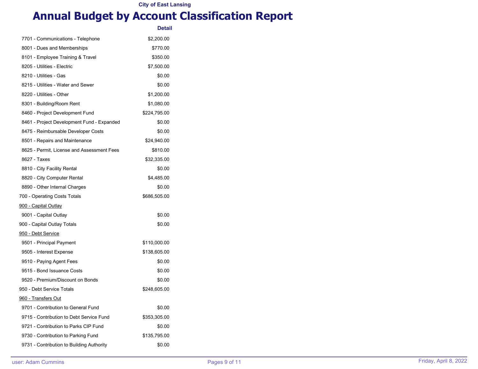# **Annual Budget by Account Classification Report**

|                                            | <b>Detail</b> |
|--------------------------------------------|---------------|
| 7701 - Communications - Telephone          | \$2,200.00    |
| 8001 - Dues and Memberships                | \$770.00      |
| 8101 - Employee Training & Travel          | \$350.00      |
| 8205 - Utilities - Electric                | \$7,500.00    |
| 8210 - Utilities - Gas                     | \$0.00        |
| 8215 - Utilities - Water and Sewer         | \$0.00        |
| 8220 - Utilities - Other                   | \$1,200.00    |
| 8301 - Building/Room Rent                  | \$1,080.00    |
| 8460 - Project Development Fund            | \$224,795.00  |
| 8461 - Project Development Fund - Expanded | \$0.00        |
| 8475 - Reimbursable Developer Costs        | \$0.00        |
| 8501 - Repairs and Maintenance             | \$24,940.00   |
| 8625 - Permit, License and Assessment Fees | \$810.00      |
| 8627 - Taxes                               | \$32,335.00   |
| 8810 - City Facility Rental                | \$0.00        |
| 8820 - City Computer Rental                | \$4,485.00    |
| 8890 - Other Internal Charges              | \$0.00        |
| 700 - Operating Costs Totals               | \$686,505.00  |
| <u>900 - Capital Outlay</u>                |               |
| 9001 - Capital Outlay                      | \$0.00        |
| 900 - Capital Outlay Totals                | \$0.00        |
| <u>950 - Debt Service</u>                  |               |
| 9501 - Principal Payment                   | \$110,000.00  |
| 9505 - Interest Expense                    | \$138,605.00  |
| 9510 - Paying Agent Fees                   | \$0.00        |
| 9515 - Bond Issuance Costs                 | \$0.00        |
| 9520 - Premium/Discount on Bonds           | \$0.00        |
| 950 - Debt Service Totals                  | \$248,605.00  |
| 960 - Transfers Out                        |               |
| 9701 - Contribution to General Fund        | \$0.00        |
| 9715 - Contribution to Debt Service Fund   | \$353,305.00  |
| 9721 - Contribution to Parks CIP Fund      | \$0.00        |
| 9730 - Contribution to Parking Fund        | \$135,795.00  |
| 9731 - Contribution to Building Authority  | \$0.00        |
|                                            |               |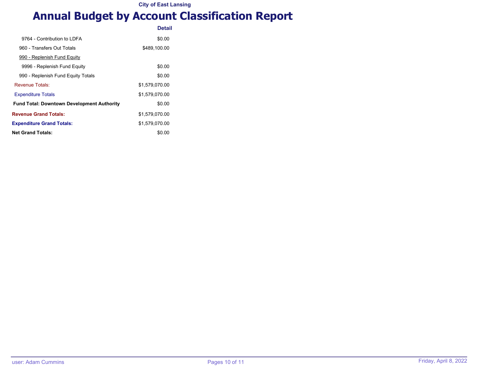# **Annual Budget by Account Classification Report**

|                                                   | <b>Detail</b>  |
|---------------------------------------------------|----------------|
| 9764 - Contribution to I DFA                      | \$0.00         |
| 960 - Transfers Out Totals                        | \$489,100.00   |
| 990 - Replenish Fund Equity                       |                |
| 9996 - Replenish Fund Equity                      | \$0.00         |
| 990 - Replenish Fund Equity Totals                | \$0.00         |
| Revenue Totals:                                   | \$1.579.070.00 |
| <b>Expenditure Totals</b>                         | \$1.579.070.00 |
| <b>Fund Total: Downtown Development Authority</b> | \$0.00         |
| <b>Revenue Grand Totals:</b>                      | \$1,579,070.00 |
| <b>Expenditure Grand Totals:</b>                  | \$1,579,070.00 |
| <b>Net Grand Totals:</b>                          | \$0.00         |